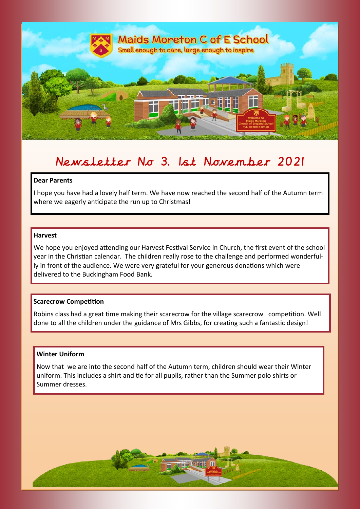

# Newsletter No 3. 1st November 2021

# **Dear Parents**

I hope you have had a lovely half term. We have now reached the second half of the Autumn term where we eagerly anticipate the run up to Christmas!

# **Harvest**

We hope you enjoyed attending our Harvest Festival Service in Church, the first event of the school year in the Christian calendar. The children really rose to the challenge and performed wonderfully in front of the audience. We were very grateful for your generous donations which were delivered to the Buckingham Food Bank.

#### **Scarecrow Competition**

Robins class had a great time making their scarecrow for the village scarecrow competition. Well done to all the children under the guidance of Mrs Gibbs, for creating such a fantastic design!

# **Winter Uniform**

r.

r.

ri<br>1

Now that we are into the second half of the Autumn term, children should wear their Winter uniform. This includes a shirt and tie for all pupils, rather than the Summer polo shirts or Summer dresses.

市开开 理理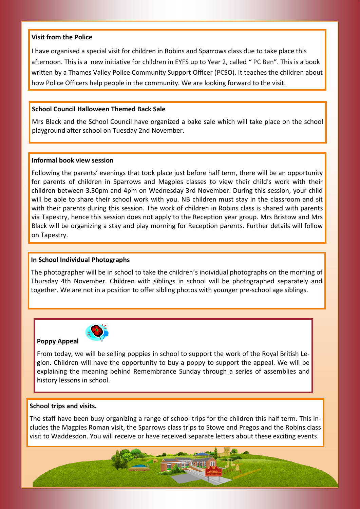#### **Visit from the Police**

I have organised a special visit for children in Robins and Sparrows class due to take place this afternoon. This is a new initiative for children in EYFS up to Year 2, called " PC Ben". This is a book written by a Thames Valley Police Community Support Officer (PCSO). It teaches the children about how Police Officers help people in the community. We are looking forward to the visit.

### **School Council Halloween Themed Back Sale**

Mrs Black and the School Council have organized a bake sale which will take place on the school playground after school on Tuesday 2nd November.

#### **Informal book view session**

Following the parents' evenings that took place just before half term, there will be an opportunity for parents of children in Sparrows and Magpies classes to view their child's work with their children between 3.30pm and 4pm on Wednesday 3rd November. During this session, your child will be able to share their school work with you. NB children must stay in the classroom and sit with their parents during this session. The work of children in Robins class is shared with parents via Tapestry, hence this session does not apply to the Reception year group. Mrs Bristow and Mrs Black will be organizing a stay and play morning for Reception parents. Further details will follow on Tapestry.

# **In School Individual Photographs**

The photographer will be in school to take the children's individual photographs on the morning of Thursday 4th November. Children with siblings in school will be photographed separately and together. We are not in a position to offer sibling photos with younger pre-school age siblings.



**Poppy Appeal** 

From today, we will be selling poppies in school to support the work of the Royal British Legion. Children will have the opportunity to buy a poppy to support the appeal. We will be explaining the meaning behind Remembrance Sunday through a series of assemblies and history lessons in school.

#### **School trips and visits.**

The staff have been busy organizing a range of school trips for the children this half term. This includes the Magpies Roman visit, the Sparrows class trips to Stowe and Pregos and the Robins class visit to Waddesdon. You will receive or have received separate letters about these exciting events.